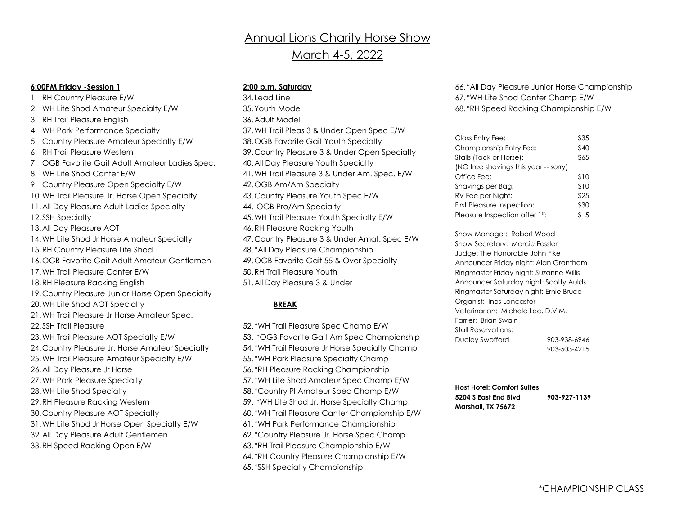# **Annual Lions Charity Horse Show** March 4-5, 2022

## **6:00PM Friday -Session 1**

1. RH Country Pleasure E/W 2. WH Lite Shod Amateur Specialty E/W 3. RH Trail Pleasure English 4. WH Park Performance Specialty 5. Country Pleasure Amateur Specialty E/W 6. RH Trail Pleasure Western 7. OGB Favorite Gait Adult Amateur Ladies Spec. 8. WH Lite Shod Canter E/W 9. Country Pleasure Open Specialty E/W 10.WH Trail Pleasure Jr. Horse Open Specialty 11.All Day Pleasure Adult Ladies Specialty 12.SSH Specialty 13.All Day Pleasure AOT 14.WH Lite Shod Jr Horse Amateur Specialty 15.RH Country Pleasure Lite Shod 16.OGB Favorite Gait Adult Amateur Gentlemen 17.WH Trail Pleasure Canter E/W 18.RH Pleasure Racking English 19.Country Pleasure Junior Horse Open Specialty 20.WH Lite Shod AOT Specialty 21.WH Trail Pleasure Jr Horse Amateur Spec. 22.SSH Trail Pleasure 23.WH Trail Pleasure AOT Specialty E/W 24.Country Pleasure Jr. Horse Amateur Specialty 25.WH Trail Pleasure Amateur Specialty E/W 26.All Day Pleasure Jr Horse 27.WH Park Pleasure Specialty 28.WH Lite Shod Specialty 29.RH Pleasure Racking Western 30.Country Pleasure AOT Specialty 31.WH Lite Shod Jr Horse Open Specialty E/W 32.All Day Pleasure Adult Gentlemen 33.RH Speed Racking Open E/W

# **2:00 p.m. Saturday**

34. Lead Line 35.Youth Model 36.Adult Model 37.WH Trail Pleas 3 & Under Open Spec E/W 38.OGB Favorite Gait Youth Specialty 39.Country Pleasure 3 & Under Open Specialty 40.All Day Pleasure Youth Specialty 41.WH Trail Pleasure 3 & Under Am. Spec. E/W 42.OGB Am/Am Specialty 43.Country Pleasure Youth Spec E/W 44. OGB Pro/Am Specialty 45.WH Trail Pleasure Youth Specialty E/W 46.RH Pleasure Racking Youth 47.Country Pleasure 3 & Under Amat. Spec E/W 48. \*All Day Pleasure Championship 49.OGB Favorite Gait 55 & Over Specialty 50.RH Trail Pleasure Youth 51.All Day Pleasure 3 & Under

# **BREAK**

52. \*WH Trail Pleasure Spec Champ E/W 53. \*OGB Favorite Gait Am Spec Championship 54. \*WH Trail Pleasure Jr Horse Specialty Champ 55. \*WH Park Pleasure Specialty Champ 56. \*RH Pleasure Racking Championship 57. \*WH Lite Shod Amateur Spec Champ E/W 58. \*Country Pl Amateur Spec Champ E/W 59. \*WH Lite Shod Jr. Horse Specialty Champ. 60. \*WH Trail Pleasure Canter Championship E/W 61. \*WH Park Performance Championship 62. \*Country Pleasure Jr. Horse Spec Champ 63. \*RH Trail Pleasure Championship E/W 64. \*RH Country Pleasure Championship E/W 65. \*SSH Specialty Championship

66. \*All Day Pleasure Junior Horse Championship 67. \*WH Lite Shod Canter Champ E/W 68. \*RH Speed Racking Championship E/W

| Class Entry Fee:                      | \$35 |
|---------------------------------------|------|
| Championship Entry Fee:               | \$40 |
| Stalls (Tack or Horse):               | \$65 |
| (NO free shavings this year -- sorry) |      |
| Office Fee:                           | \$10 |
| Shavings per Bag:                     | \$10 |
| RV Fee per Night:                     | \$25 |
| First Pleasure Inspection:            | \$30 |
| Pleasure Inspection after 1st:        | \$5  |

Show Manager: Robert Wood Show Secretary: Marcie Fessler Judge: The Honorable John Fike Announcer Friday night: Alan Grantham Ringmaster Friday night: Suzanne Willis Announcer Saturday night: Scotty Aulds Ringmaster Saturday night: Ernie Bruce Organist: Ines Lancaster Veterinarian: Michele Lee, D.V.M. Farrier: Brian Swain Stall Reservations: Dudley Swofford 903-938-6946 903-503-4215

**Host Hotel: Comfort Suites 5204 S East End Blvd 903-927-1139 Marshall, TX 75672**